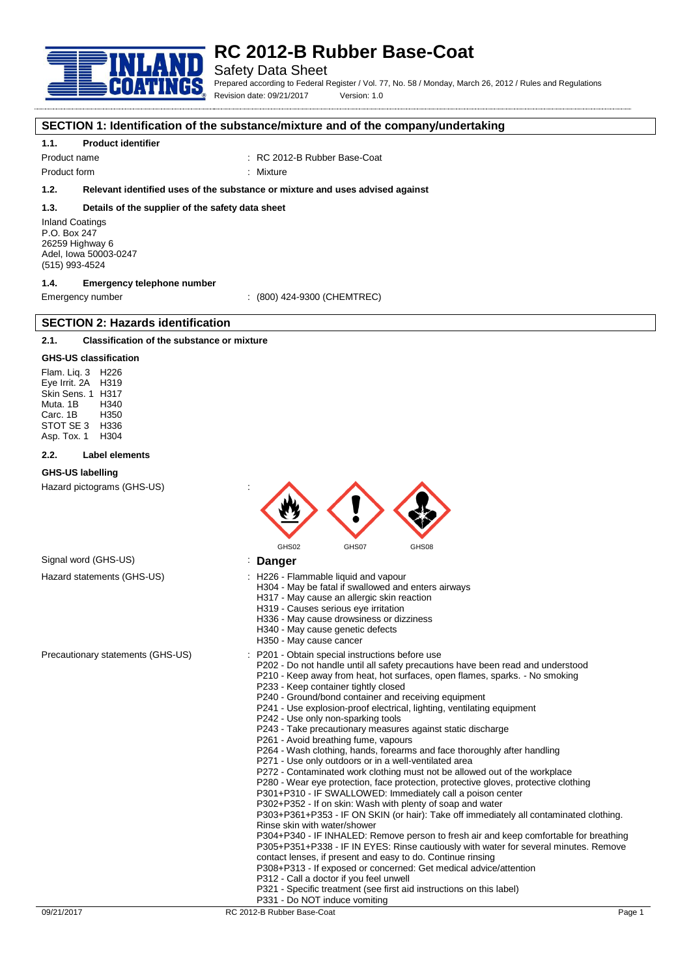

## Safety Data Sheet

Prepared according to Federal Register / Vol. 77, No. 58 / Monday, March 26, 2012 / Rules and Regulations Revision date: 09/21/2017 Version: 1.0

#### **SECTION 1: Identification of the substance/mixture and of the company/undertaking**

#### **1.1. Product identifier**

Product name : RC 2012-B Rubber Base-Coat

Product form : Nixture

### **1.2. Relevant identified uses of the substance or mixture and uses advised against**

#### **1.3. Details of the supplier of the safety data sheet**

Inland Coatings P.O. Box 247 26259 Highway 6 Adel, Iowa 50003-0247 (515) 993-4524

### **1.4. Emergency telephone number**

**SECTION 2: Hazards identification**

Emergency number : (800) 424-9300 (CHEMTREC)

### **2.1. Classification of the substance or mixture**

#### **GHS-US classification**

Flam. Liq. 3 H226 Eye Irrit. 2A H319 Skin Sens. 1 H317 Muta. 1B H340 Carc. 1B STOT SE 3 H336<br>Asp Tox 1 H304 Asp. Tox. 1

#### **2.2. Label elements**

#### **GHS-US labelling**

Hazard pictograms (GHS-US) :



### Signal word (GHS-US) **in the Signal Word (GHS-US) in the Signal Signal Word (GHS-US)**

- Hazard statements (GHS-US) : H226 Flammable liquid and vapour
	- H304 May be fatal if swallowed and enters airways
		- H317 May cause an allergic skin reaction
		- H319 Causes serious eye irritation
		- H336 May cause drowsiness or dizziness
		- H340 May cause genetic defects
		- H350 May cause cancer
- Precautionary statements (GHS-US) : P201 Obtain special instructions before use
	- P202 Do not handle until all safety precautions have been read and understood
	- P210 Keep away from heat, hot surfaces, open flames, sparks. No smoking P233 - Keep container tightly closed
	- P240 Ground/bond container and receiving equipment
	- P241 Use explosion-proof electrical, lighting, ventilating equipment
	- P242 Use only non-sparking tools
	- P243 Take precautionary measures against static discharge
	- P261 Avoid breathing fume, vapours
	- P264 Wash clothing, hands, forearms and face thoroughly after handling
	- P271 Use only outdoors or in a well-ventilated area
	- P272 Contaminated work clothing must not be allowed out of the workplace
	- P280 Wear eye protection, face protection, protective gloves, protective clothing
	- P301+P310 IF SWALLOWED: Immediately call a poison center
	- P302+P352 If on skin: Wash with plenty of soap and water

P303+P361+P353 - IF ON SKIN (or hair): Take off immediately all contaminated clothing. Rinse skin with water/shower

P304+P340 - IF INHALED: Remove person to fresh air and keep comfortable for breathing P305+P351+P338 - IF IN EYES: Rinse cautiously with water for several minutes. Remove contact lenses, if present and easy to do. Continue rinsing

- P308+P313 If exposed or concerned: Get medical advice/attention
- P312 Call a doctor if you feel unwell
- P321 Specific treatment (see first aid instructions on this label)
- P331 Do NOT induce vomiting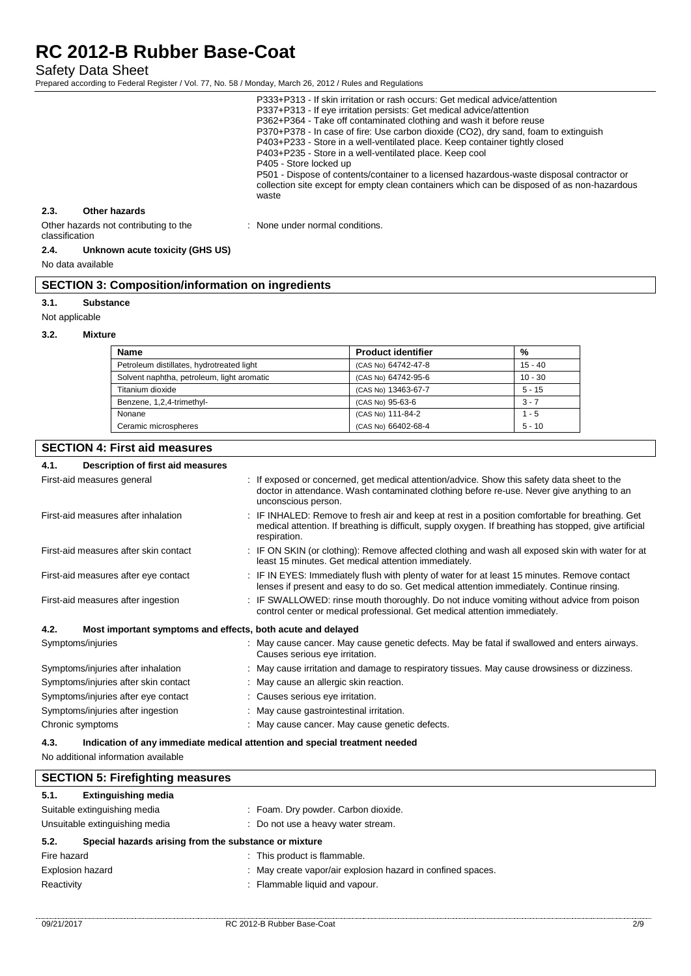Safety Data Sheet

Prepared according to Federal Register / Vol. 77, No. 58 / Monday, March 26, 2012 / Rules and Regulations

|                                                         |               | P333+P313 - If skin irritation or rash occurs: Get medical advice/attention<br>P337+P313 - If eye irritation persists: Get medical advice/attention<br>P362+P364 - Take off contaminated clothing and wash it before reuse<br>P370+P378 - In case of fire: Use carbon dioxide (CO2), dry sand, foam to extinguish<br>P403+P233 - Store in a well-ventilated place. Keep container tightly closed<br>P403+P235 - Store in a well-ventilated place. Keep cool<br>P405 - Store locked up<br>P501 - Dispose of contents/container to a licensed hazardous-waste disposal contractor or<br>collection site except for empty clean containers which can be disposed of as non-hazardous<br>waste |
|---------------------------------------------------------|---------------|--------------------------------------------------------------------------------------------------------------------------------------------------------------------------------------------------------------------------------------------------------------------------------------------------------------------------------------------------------------------------------------------------------------------------------------------------------------------------------------------------------------------------------------------------------------------------------------------------------------------------------------------------------------------------------------------|
| 2.3.                                                    | Other hazards |                                                                                                                                                                                                                                                                                                                                                                                                                                                                                                                                                                                                                                                                                            |
| Other hazards not contributing to the<br>classification |               | : None under normal conditions.                                                                                                                                                                                                                                                                                                                                                                                                                                                                                                                                                                                                                                                            |

#### **2.4. Unknown acute toxicity (GHS US)**

No data available

## **SECTION 3: Composition/information on ingredients**

#### **3.1. Substance**

Not applicable

#### **3.2. Mixture**

| <b>Name</b>                                | <b>Product identifier</b> | %         |
|--------------------------------------------|---------------------------|-----------|
| Petroleum distillates, hydrotreated light  | (CAS No) 64742-47-8       | $15 - 40$ |
| Solvent naphtha, petroleum, light aromatic | (CAS No) 64742-95-6       | $10 - 30$ |
| Titanium dioxide                           | (CAS No) 13463-67-7       | $5 - 15$  |
| Benzene, 1,2,4-trimethyl-                  | (CAS No) 95-63-6          | $3 - 7$   |
| Nonane                                     | (CAS No) 111-84-2         | $1 - 5$   |
| Ceramic microspheres                       | (CAS No) 66402-68-4       | $5 - 10$  |

### **SECTION 4: First aid measures**

| 4.1.                                | Description of first aid measures                           |                                                                                                                                                                                                                           |
|-------------------------------------|-------------------------------------------------------------|---------------------------------------------------------------------------------------------------------------------------------------------------------------------------------------------------------------------------|
|                                     | First-aid measures general                                  | : If exposed or concerned, get medical attention/advice. Show this safety data sheet to the<br>doctor in attendance. Wash contaminated clothing before re-use. Never give anything to an<br>unconscious person.           |
|                                     | First-aid measures after inhalation                         | : IF INHALED: Remove to fresh air and keep at rest in a position comfortable for breathing. Get<br>medical attention. If breathing is difficult, supply oxygen. If breathing has stopped, give artificial<br>respiration. |
|                                     | First-aid measures after skin contact                       | : IF ON SKIN (or clothing): Remove affected clothing and wash all exposed skin with water for at<br>least 15 minutes. Get medical attention immediately.                                                                  |
|                                     | First-aid measures after eye contact                        | : IF IN EYES: Immediately flush with plenty of water for at least 15 minutes. Remove contact<br>lenses if present and easy to do so. Get medical attention immediately. Continue rinsing.                                 |
| First-aid measures after ingestion  |                                                             | : IF SWALLOWED: rinse mouth thoroughly. Do not induce vomiting without advice from poison<br>control center or medical professional. Get medical attention immediately.                                                   |
| 4.2.                                | Most important symptoms and effects, both acute and delayed |                                                                                                                                                                                                                           |
|                                     | Symptoms/injuries                                           | May cause cancer. May cause genetic defects. May be fatal if swallowed and enters airways.<br>Causes serious eye irritation.                                                                                              |
|                                     | Symptoms/injuries after inhalation                          | : May cause irritation and damage to respiratory tissues. May cause drowsiness or dizziness.                                                                                                                              |
|                                     | Symptoms/injuries after skin contact                        | : May cause an allergic skin reaction.                                                                                                                                                                                    |
| Symptoms/injuries after eye contact |                                                             | : Causes serious eye irritation.                                                                                                                                                                                          |
|                                     | Symptoms/injuries after ingestion                           | : May cause gastrointestinal irritation.                                                                                                                                                                                  |
|                                     | Chronic symptoms                                            | : May cause cancer. May cause genetic defects.                                                                                                                                                                            |
| 4.3.                                |                                                             | Indication of any immediate medical attention and special treatment needed                                                                                                                                                |

No additional information available

| <b>SECTION 5: Firefighting measures</b> |                                                             |  |  |
|-----------------------------------------|-------------------------------------------------------------|--|--|
| <b>Extinguishing media</b><br>5.1.      |                                                             |  |  |
| Suitable extinguishing media            | : Foam. Dry powder. Carbon dioxide.                         |  |  |
| Unsuitable extinguishing media          | : Do not use a heavy water stream.                          |  |  |
| 5.2.                                    | Special hazards arising from the substance or mixture       |  |  |
| Fire hazard                             | : This product is flammable.                                |  |  |
| <b>Explosion hazard</b>                 | : May create vapor/air explosion hazard in confined spaces. |  |  |
| Reactivity                              | Flammable liquid and vapour.                                |  |  |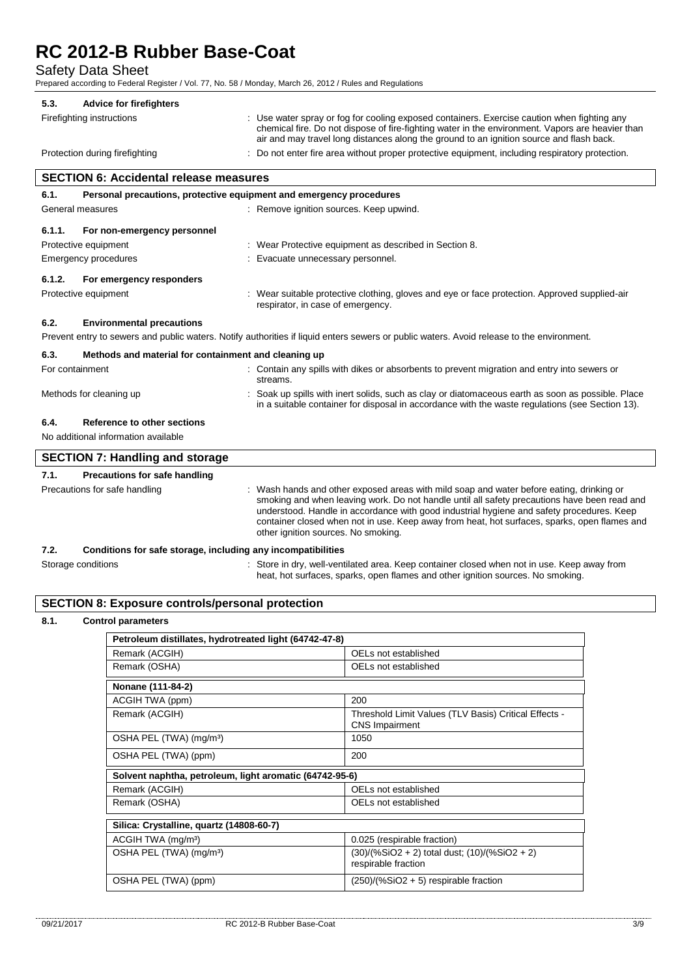Safety Data Sheet

Prepared according to Federal Register / Vol. 77, No. 58 / Monday, March 26, 2012 / Rules and Regulations

| 5.3. | <b>Advice for firefighters</b> |                                                                                                                                                                                                                                                                                             |
|------|--------------------------------|---------------------------------------------------------------------------------------------------------------------------------------------------------------------------------------------------------------------------------------------------------------------------------------------|
|      | Firefighting instructions      | : Use water spray or fog for cooling exposed containers. Exercise caution when fighting any<br>chemical fire. Do not dispose of fire-fighting water in the environment. Vapors are heavier than<br>air and may travel long distances along the ground to an ignition source and flash back. |
|      | Protection during firefighting | : Do not enter fire area without proper protective equipment, including respiratory protection.                                                                                                                                                                                             |

| <b>SECTION 6: Accidental release measures</b> |                                                                                                                                           |                                                                                                                                                                                                    |  |  |
|-----------------------------------------------|-------------------------------------------------------------------------------------------------------------------------------------------|----------------------------------------------------------------------------------------------------------------------------------------------------------------------------------------------------|--|--|
| 6.1.                                          | Personal precautions, protective equipment and emergency procedures                                                                       |                                                                                                                                                                                                    |  |  |
| General measures                              |                                                                                                                                           | : Remove ignition sources. Keep upwind.                                                                                                                                                            |  |  |
| 6.1.1.                                        | For non-emergency personnel                                                                                                               |                                                                                                                                                                                                    |  |  |
|                                               | Protective equipment                                                                                                                      | : Wear Protective equipment as described in Section 8.                                                                                                                                             |  |  |
| Emergency procedures                          |                                                                                                                                           | : Evacuate unnecessary personnel.                                                                                                                                                                  |  |  |
| 6.1.2.                                        | For emergency responders                                                                                                                  |                                                                                                                                                                                                    |  |  |
| Protective equipment                          |                                                                                                                                           | : Wear suitable protective clothing, gloves and eye or face protection. Approved supplied-air<br>respirator, in case of emergency.                                                                 |  |  |
| 6.2.                                          | <b>Environmental precautions</b>                                                                                                          |                                                                                                                                                                                                    |  |  |
|                                               | Prevent entry to sewers and public waters. Notify authorities if liquid enters sewers or public waters. Avoid release to the environment. |                                                                                                                                                                                                    |  |  |
| 6.3.                                          | Methods and material for containment and cleaning up                                                                                      |                                                                                                                                                                                                    |  |  |
| For containment                               |                                                                                                                                           | : Contain any spills with dikes or absorbents to prevent migration and entry into sewers or<br>streams.                                                                                            |  |  |
|                                               | Methods for cleaning up                                                                                                                   | Soak up spills with inert solids, such as clay or diatomaceous earth as soon as possible. Place<br>in a suitable container for disposal in accordance with the waste regulations (see Section 13). |  |  |
| 6.4.                                          | Reference to other sections                                                                                                               |                                                                                                                                                                                                    |  |  |
| No additional information available           |                                                                                                                                           |                                                                                                                                                                                                    |  |  |

| <b>SECTION 7: Handling and storage</b>       |                                                                                                                                                                                                                                                                                                                                                                                                                            |  |
|----------------------------------------------|----------------------------------------------------------------------------------------------------------------------------------------------------------------------------------------------------------------------------------------------------------------------------------------------------------------------------------------------------------------------------------------------------------------------------|--|
| <b>Precautions for safe handling</b><br>7.1. |                                                                                                                                                                                                                                                                                                                                                                                                                            |  |
| Precautions for safe handling                | Wash hands and other exposed areas with mild soap and water before eating, drinking or<br>smoking and when leaving work. Do not handle until all safety precautions have been read and<br>understood. Handle in accordance with good industrial hygiene and safety procedures. Keep<br>container closed when not in use. Keep away from heat, hot surfaces, sparks, open flames and<br>other ignition sources. No smoking. |  |

heat, hot surfaces, sparks, open flames and other ignition sources. No smoking.

#### **7.2. Conditions for safe storage, including any incompatibilities**

Storage conditions **Store in dry**, well-ventilated area. Keep container closed when not in use. Keep away from

## **SECTION 8: Exposure controls/personal protection**

### **8.1. Control parameters**

| Petroleum distillates, hydrotreated light (64742-47-8)  |                                                                                |  |  |
|---------------------------------------------------------|--------------------------------------------------------------------------------|--|--|
| Remark (ACGIH)                                          | OELs not established                                                           |  |  |
| Remark (OSHA)                                           | OELs not established                                                           |  |  |
| Nonane (111-84-2)                                       |                                                                                |  |  |
| ACGIH TWA (ppm)                                         | 200                                                                            |  |  |
| Remark (ACGIH)                                          | Threshold Limit Values (TLV Basis) Critical Effects -<br><b>CNS Impairment</b> |  |  |
| OSHA PEL (TWA) (mg/m <sup>3</sup> )                     | 1050                                                                           |  |  |
| OSHA PEL (TWA) (ppm)                                    | 200                                                                            |  |  |
| Solvent naphtha, petroleum, light aromatic (64742-95-6) |                                                                                |  |  |
| Remark (ACGIH)                                          | OELs not established                                                           |  |  |
| Remark (OSHA)                                           | OELs not established                                                           |  |  |
| Silica: Crystalline, quartz (14808-60-7)                |                                                                                |  |  |
| ACGIH TWA (mg/m <sup>3</sup> )                          | 0.025 (respirable fraction)                                                    |  |  |
| OSHA PEL (TWA) (mg/m <sup>3</sup> )                     | $(30)/(%SiO2 + 2)$ total dust; $(10)/(%SiO2 + 2)$<br>respirable fraction       |  |  |
| OSHA PEL (TWA) (ppm)                                    | $(250)/(%SiO2 + 5)$ respirable fraction                                        |  |  |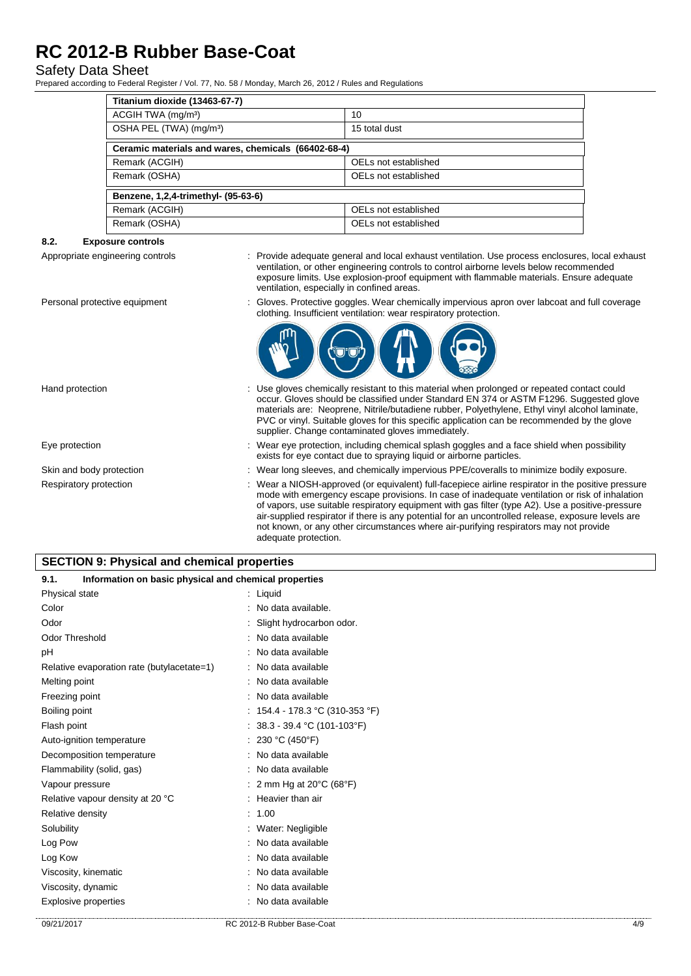# Safety Data Sheet

Prepared according to Federal Register / Vol. 77, No. 58 / Monday, March 26, 2012 / Rules and Regulations

| Titanium dioxide (13463-67-7)                       |                      |  |  |
|-----------------------------------------------------|----------------------|--|--|
| ACGIH TWA (mg/m <sup>3</sup> )                      | 10                   |  |  |
| OSHA PEL (TWA) (mg/m <sup>3</sup> )                 | 15 total dust        |  |  |
| Ceramic materials and wares, chemicals (66402-68-4) |                      |  |  |
| Remark (ACGIH)                                      | OELs not established |  |  |
| Remark (OSHA)                                       | OELs not established |  |  |
| Benzene, 1,2,4-trimethyl- (95-63-6)                 |                      |  |  |
| Remark (ACGIH)                                      | OELs not established |  |  |
| Remark (OSHA)                                       | OELs not established |  |  |

## **8.2. Exposure controls**

- Appropriate engineering controls : Provide adequate general and local exhaust ventilation. Use process enclosures, local exhaust ventilation, or other engineering controls to control airborne levels below recommended exposure limits. Use explosion-proof equipment with flammable materials. Ensure adequate ventilation, especially in confined areas.
- Personal protective equipment : Gloves. Protective goggles. Wear chemically impervious apron over labcoat and full coverage clothing. Insufficient ventilation: wear respiratory protection.



Hand protection **interest of the gloves** chemically resistant to this material when prolonged or repeated contact could

- occur. Gloves should be classified under Standard EN 374 or ASTM F1296. Suggested glove materials are: Neoprene, Nitrile/butadiene rubber, Polyethylene, Ethyl vinyl alcohol laminate, PVC or vinyl. Suitable gloves for this specific application can be recommended by the glove supplier. Change contaminated gloves immediately.
- Eye protection **including the state of the system** of the Wear eye protection, including chemical splash goggles and a face shield when possibility exists for eye contact due to spraying liquid or airborne particles.
- Skin and body protection : Wear long sleeves, and chemically impervious PPE/coveralls to minimize bodily exposure.
- Respiratory protection : Wear a NIOSH-approved (or equivalent) full-facepiece airline respirator in the positive pressure mode with emergency escape provisions. In case of inadequate ventilation or risk of inhalation of vapors, use suitable respiratory equipment with gas filter (type A2). Use a positive-pressure air-supplied respirator if there is any potential for an uncontrolled release, exposure levels are not known, or any other circumstances where air-purifying respirators may not provide adequate protection.

| <b>SECTION 9: Physical and chemical properties</b> |  |  |
|----------------------------------------------------|--|--|
|                                                    |  |  |

| 9.1.<br>Information on basic physical and chemical properties |                                              |     |
|---------------------------------------------------------------|----------------------------------------------|-----|
| Physical state                                                | $:$ Liquid                                   |     |
| Color                                                         | : No data available.                         |     |
| Odor                                                          | : Slight hydrocarbon odor.                   |     |
| <b>Odor Threshold</b>                                         | : No data available                          |     |
| pH                                                            | : No data available                          |     |
| Relative evaporation rate (butylacetate=1)                    | : No data available                          |     |
| Melting point                                                 | : No data available                          |     |
| Freezing point                                                | : No data available                          |     |
| Boiling point                                                 | : $154.4 - 178.3$ °C (310-353 °F)            |     |
| Flash point                                                   | : $38.3 - 39.4$ °C (101-103°F)               |     |
| Auto-ignition temperature                                     | : 230 °C (450°F)                             |     |
| Decomposition temperature                                     | : No data available                          |     |
| Flammability (solid, gas)                                     | : No data available                          |     |
| Vapour pressure                                               | : 2 mm Hg at 20 $\degree$ C (68 $\degree$ F) |     |
| Relative vapour density at 20 °C                              | : Heavier than air                           |     |
| Relative density                                              | : 1.00                                       |     |
| Solubility                                                    | : Water: Negligible                          |     |
| Log Pow                                                       | : No data available                          |     |
| Log Kow                                                       | : No data available                          |     |
| Viscosity, kinematic                                          | : No data available                          |     |
| Viscosity, dynamic                                            | : No data available                          |     |
| <b>Explosive properties</b>                                   | : No data available                          |     |
| 09/21/2017                                                    | RC 2012-B Rubber Base-Coat                   | 4/9 |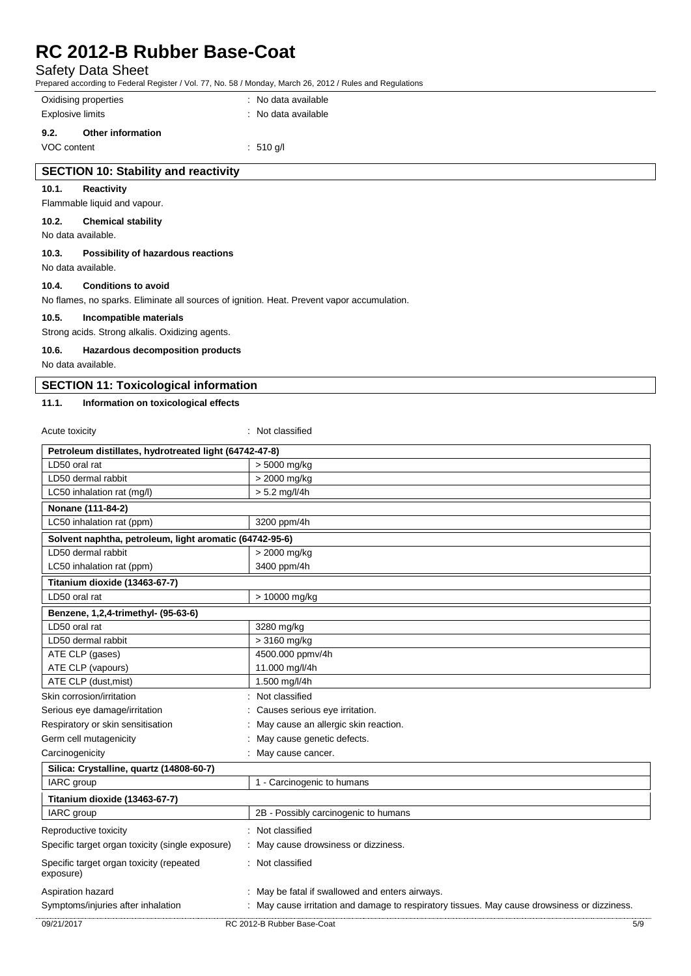# Safety Data Sheet

Prepared according to Federal Register / Vol. 77, No. 58 / Monday, March 26, 2012 / Rules and Regulations

|                                                                                            |                                                 | Tepared according to Federal Register / Vol. 77, NO. 307 INDIRIAL, March 20, 2012 / Rules and Regulations |  |  |
|--------------------------------------------------------------------------------------------|-------------------------------------------------|-----------------------------------------------------------------------------------------------------------|--|--|
| Oxidising properties                                                                       |                                                 | : No data available                                                                                       |  |  |
| <b>Explosive limits</b>                                                                    |                                                 | : No data available                                                                                       |  |  |
| 9.2.                                                                                       | Other information                               |                                                                                                           |  |  |
| VOC content                                                                                |                                                 | $: 510$ g/l                                                                                               |  |  |
|                                                                                            | <b>SECTION 10: Stability and reactivity</b>     |                                                                                                           |  |  |
| 10.1.                                                                                      | Reactivity                                      |                                                                                                           |  |  |
|                                                                                            | Flammable liquid and vapour.                    |                                                                                                           |  |  |
| 10.2.<br><b>Chemical stability</b><br>No data available.                                   |                                                 |                                                                                                           |  |  |
| 10.3.                                                                                      | Possibility of hazardous reactions              |                                                                                                           |  |  |
| No data available.                                                                         |                                                 |                                                                                                           |  |  |
| 10.4.                                                                                      | <b>Conditions to avoid</b>                      |                                                                                                           |  |  |
| No flames, no sparks. Eliminate all sources of ignition. Heat. Prevent vapor accumulation. |                                                 |                                                                                                           |  |  |
| 10.5.                                                                                      | Incompatible materials                          |                                                                                                           |  |  |
|                                                                                            | Strong acids. Strong alkalis. Oxidizing agents. |                                                                                                           |  |  |

#### **10.6. Hazardous decomposition products**

No data available.

#### **SECTION 11: Toxicological information**

#### **11.1. Information on toxicological effects**

09/21/2017 RC 2012-B Rubber Base-Coat 5/9 Acute toxicity in the set of the set of the set of the set of the set of the set of the set of the set of the set of the set of the set of the set of the set of the set of the set of the set of the set of the set of the se **Petroleum distillates, hydrotreated light (64742-47-8)** LD50 oral rat  $\vert$  > 5000 mg/kg LD50 dermal rabbit  $\vert$  > 2000 mg/kg LC50 inhalation rat (mg/l)  $>$  5.2 mg/l/4h **Nonane (111-84-2)** LC50 inhalation rat (ppm) 3200 ppm/4h **Solvent naphtha, petroleum, light aromatic (64742-95-6)** LD50 dermal rabbit  $\vert$  > 2000 mg/kg LC50 inhalation rat (ppm) 3400 ppm/4h **Titanium dioxide (13463-67-7)** LD50 oral rat  $\vert$  > 10000 mg/kg **Benzene, 1,2,4-trimethyl- (95-63-6)** LD50 oral rat 3280 mg/kg LD50 dermal rabbit  $\vert$  > 3160 mg/kg ATE CLP (gases) 4500.000 ppmv/4h ATE CLP (vapours) 11.000 mg/l/4h ATE CLP (dust, mist) 1.500 mg/l/4h Skin corrosion/irritation  $\blacksquare$ : Not classified Serious eye damage/irritation : Causes serious eye irritation. Respiratory or skin sensitisation : May cause an allergic skin reaction. Germ cell mutagenicity **Second Contract Contract Contract Contract Contract Contract Contract Contract Contract Contract Contract Contract Contract Contract Contract Contract Contract Contract Contract Contract Contract Co** Carcinogenicity **Carcinogenicity** : May cause cancer. **Silica: Crystalline, quartz (14808-60-7)** IARC group 1 - Carcinogenic to humans **Titanium dioxide (13463-67-7)** IARC group 2B - Possibly carcinogenic to humans Reproductive toxicity **in the contract of the Cassified** in Not classified Specific target organ toxicity (single exposure) : May cause drowsiness or dizziness. Specific target organ toxicity (repeated exposure) : Not classified Aspiration hazard **in the state of the state of the state of the state of the state of the state of the state of the state of the state of the state of the state of the state of the state of the state of the state of the s** Symptoms/injuries after inhalation : May cause irritation and damage to respiratory tissues. May cause drowsiness or dizziness.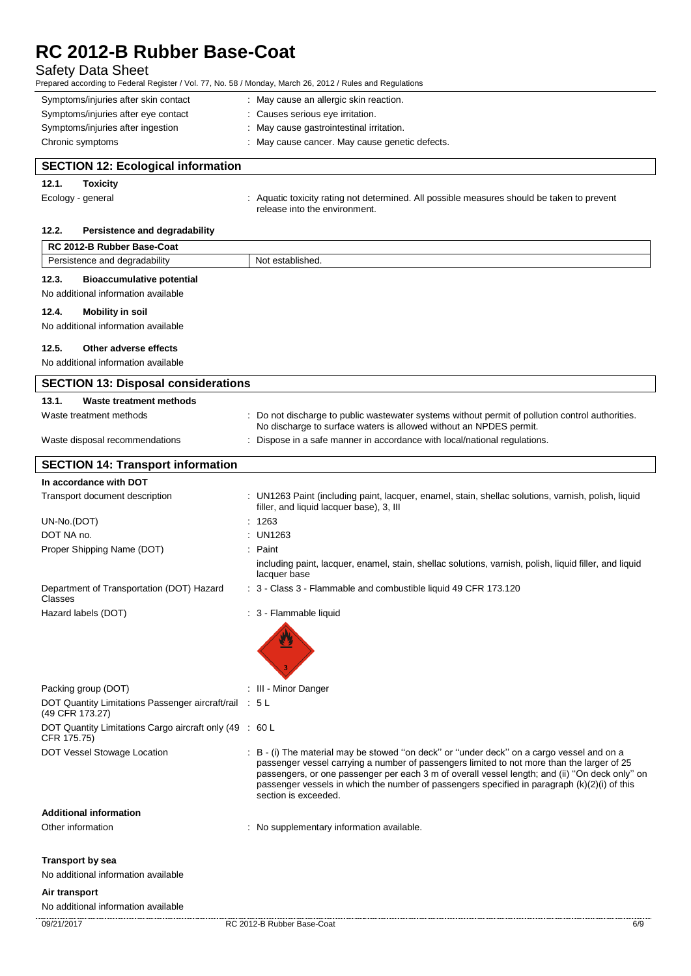## Safety Data Sheet

Prepared according to Federal Register / Vol. 77, No. 58 / Monday, March 26, 2012 / Rules and Regulations

| Symptoms/injuries after skin contact | May cause an allergic skin reaction.         |
|--------------------------------------|----------------------------------------------|
| Symptoms/injuries after eye contact  | Causes serious eye irritation.               |
| Symptoms/injuries after ingestion    | May cause gastrointestinal irritation.       |
| Chronic symptoms                     | May cause cancer. May cause genetic defects. |

|       |                   | <b>SECTION 12: Ecological information</b> |                                                                                                                             |
|-------|-------------------|-------------------------------------------|-----------------------------------------------------------------------------------------------------------------------------|
| 12.1. | <b>Toxicity</b>   |                                           |                                                                                                                             |
|       | Ecology - general |                                           | : Aquatic toxicity rating not determined. All possible measures should be taken to prevent<br>release into the environment. |

## **12.2. Persistence and degradability**

| <b>RC 2012-B Rubber Base-Coat</b>                                         |                                                                                                                                                                                                                                                                                                                                                                                                                   |
|---------------------------------------------------------------------------|-------------------------------------------------------------------------------------------------------------------------------------------------------------------------------------------------------------------------------------------------------------------------------------------------------------------------------------------------------------------------------------------------------------------|
| Persistence and degradability                                             | Not established.                                                                                                                                                                                                                                                                                                                                                                                                  |
| 12.3.<br><b>Bioaccumulative potential</b>                                 |                                                                                                                                                                                                                                                                                                                                                                                                                   |
| No additional information available                                       |                                                                                                                                                                                                                                                                                                                                                                                                                   |
| 12.4.<br><b>Mobility in soil</b>                                          |                                                                                                                                                                                                                                                                                                                                                                                                                   |
| No additional information available                                       |                                                                                                                                                                                                                                                                                                                                                                                                                   |
|                                                                           |                                                                                                                                                                                                                                                                                                                                                                                                                   |
| Other adverse effects<br>12.5.                                            |                                                                                                                                                                                                                                                                                                                                                                                                                   |
| No additional information available                                       |                                                                                                                                                                                                                                                                                                                                                                                                                   |
| <b>SECTION 13: Disposal considerations</b>                                |                                                                                                                                                                                                                                                                                                                                                                                                                   |
| 13.1.<br>Waste treatment methods                                          |                                                                                                                                                                                                                                                                                                                                                                                                                   |
| Waste treatment methods                                                   | : Do not discharge to public wastewater systems without permit of pollution control authorities.<br>No discharge to surface waters is allowed without an NPDES permit.                                                                                                                                                                                                                                            |
| Waste disposal recommendations                                            | Dispose in a safe manner in accordance with local/national regulations.                                                                                                                                                                                                                                                                                                                                           |
| <b>SECTION 14: Transport information</b>                                  |                                                                                                                                                                                                                                                                                                                                                                                                                   |
| In accordance with DOT                                                    |                                                                                                                                                                                                                                                                                                                                                                                                                   |
| Transport document description                                            | : UN1263 Paint (including paint, lacquer, enamel, stain, shellac solutions, varnish, polish, liquid<br>filler, and liquid lacquer base), 3, III                                                                                                                                                                                                                                                                   |
| UN-No.(DOT)                                                               | 1263                                                                                                                                                                                                                                                                                                                                                                                                              |
| DOT NA no.                                                                | <b>UN1263</b>                                                                                                                                                                                                                                                                                                                                                                                                     |
| Proper Shipping Name (DOT)                                                | Paint                                                                                                                                                                                                                                                                                                                                                                                                             |
|                                                                           | including paint, lacquer, enamel, stain, shellac solutions, varnish, polish, liquid filler, and liquid<br>lacquer base                                                                                                                                                                                                                                                                                            |
| Department of Transportation (DOT) Hazard<br>Classes                      | : 3 - Class 3 - Flammable and combustible liquid 49 CFR 173.120                                                                                                                                                                                                                                                                                                                                                   |
| Hazard labels (DOT)                                                       | : 3 - Flammable liquid                                                                                                                                                                                                                                                                                                                                                                                            |
|                                                                           |                                                                                                                                                                                                                                                                                                                                                                                                                   |
| Packing group (DOT)                                                       | : III - Minor Danger                                                                                                                                                                                                                                                                                                                                                                                              |
| DOT Quantity Limitations Passenger aircraft/rail : 5 L<br>(49 CFR 173.27) |                                                                                                                                                                                                                                                                                                                                                                                                                   |
| DOT Quantity Limitations Cargo aircraft only (49 : 60 L<br>CFR 175.75)    |                                                                                                                                                                                                                                                                                                                                                                                                                   |
| <b>DOT Vessel Stowage Location</b>                                        | : B - (i) The material may be stowed "on deck" or "under deck" on a cargo vessel and on a<br>passenger vessel carrying a number of passengers limited to not more than the larger of 25<br>passengers, or one passenger per each 3 m of overall vessel length; and (ii) "On deck only" on<br>passenger vessels in which the number of passengers specified in paragraph (k)(2)(i) of this<br>section is exceeded. |
| <b>Additional information</b>                                             |                                                                                                                                                                                                                                                                                                                                                                                                                   |
| Other information                                                         | : No supplementary information available.                                                                                                                                                                                                                                                                                                                                                                         |
| <b>Transport by sea</b>                                                   |                                                                                                                                                                                                                                                                                                                                                                                                                   |
| No additional information available                                       |                                                                                                                                                                                                                                                                                                                                                                                                                   |
| Air transport                                                             |                                                                                                                                                                                                                                                                                                                                                                                                                   |
| No additional information available                                       |                                                                                                                                                                                                                                                                                                                                                                                                                   |
| 09/21/2017                                                                | RC 2012-B Rubber Base-Coat<br>6/9                                                                                                                                                                                                                                                                                                                                                                                 |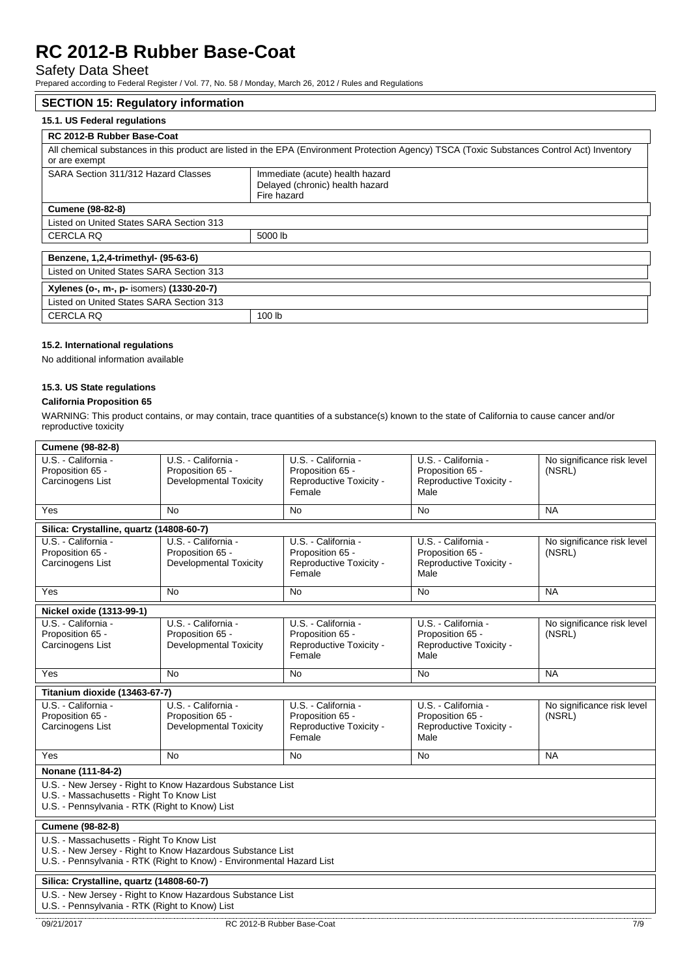# Safety Data Sheet

Prepared according to Federal Register / Vol. 77, No. 58 / Monday, March 26, 2012 / Rules and Regulations

#### **SECTION 15: Regulatory information**

# **15.1. US Federal regulations**

| RC 2012-B Rubber Base-Coat               |                                                                                                                                             |
|------------------------------------------|---------------------------------------------------------------------------------------------------------------------------------------------|
| or are exempt                            | All chemical substances in this product are listed in the EPA (Environment Protection Agency) TSCA (Toxic Substances Control Act) Inventory |
| SARA Section 311/312 Hazard Classes      | Immediate (acute) health hazard<br>Delayed (chronic) health hazard<br>Fire hazard                                                           |
| <b>Cumene (98-82-8)</b>                  |                                                                                                                                             |
| Listed on United States SARA Section 313 |                                                                                                                                             |
| <b>CERCLA RQ</b>                         | 5000 lb                                                                                                                                     |
| Benzene, 1,2,4-trimethyl- (95-63-6)      |                                                                                                                                             |
| Listed on United States SARA Section 313 |                                                                                                                                             |
| Xylenes (o-, m-, p- isomers) (1330-20-7) |                                                                                                                                             |
| Listed on United States SARA Section 313 |                                                                                                                                             |
| <b>CERCLA RQ</b>                         | 100 lb                                                                                                                                      |

### **15.2. International regulations**

No additional information available

# **15.3. US State regulations**

# **California Proposition 65**

WARNING: This product contains, or may contain, trace quantities of a substance(s) known to the state of California to cause cancer and/or reproductive toxicity

| Cumene (98-82-8)                                                                            |                                                                                                                                     |                                                                              |                                                                            |                                      |
|---------------------------------------------------------------------------------------------|-------------------------------------------------------------------------------------------------------------------------------------|------------------------------------------------------------------------------|----------------------------------------------------------------------------|--------------------------------------|
| U.S. California -<br>Proposition 65 -<br>Carcinogens List                                   | U.S. - California -<br>Proposition 65 -<br><b>Developmental Toxicity</b>                                                            | U.S. - California -<br>Proposition 65 -<br>Reproductive Toxicity -           | U.S. - California -<br>Proposition 65 -<br>Reproductive Toxicity -         | No significance risk level<br>(NSRL) |
|                                                                                             |                                                                                                                                     | Female                                                                       | Male                                                                       |                                      |
| Yes                                                                                         | No.                                                                                                                                 | <b>No</b>                                                                    | <b>No</b>                                                                  | <b>NA</b>                            |
| Silica: Crystalline, quartz (14808-60-7)                                                    |                                                                                                                                     |                                                                              |                                                                            |                                      |
| U.S. California -<br>Proposition 65 -<br>Carcinogens List                                   | U.S. - California -<br>Proposition 65 -<br>Developmental Toxicity                                                                   | U.S. - California -<br>Proposition 65 -<br>Reproductive Toxicity -<br>Female | U.S. California -<br>Proposition 65 -<br>Reproductive Toxicity -<br>Male   | No significance risk level<br>(NSRL) |
| Yes                                                                                         | No                                                                                                                                  | No                                                                           | <b>No</b>                                                                  | <b>NA</b>                            |
| Nickel oxide (1313-99-1)                                                                    |                                                                                                                                     |                                                                              |                                                                            |                                      |
| U.S. - California -<br>Proposition 65 -<br>Carcinogens List                                 | U.S. - California -<br>Proposition 65 -<br><b>Developmental Toxicity</b>                                                            | U.S. - California -<br>Proposition 65 -<br>Reproductive Toxicity -<br>Female | U.S. - California -<br>Proposition 65 -<br>Reproductive Toxicity -<br>Male | No significance risk level<br>(NSRL) |
| Yes                                                                                         | No                                                                                                                                  | No                                                                           | <b>No</b>                                                                  | <b>NA</b>                            |
|                                                                                             |                                                                                                                                     |                                                                              |                                                                            |                                      |
| Titanium dioxide (13463-67-7)                                                               |                                                                                                                                     |                                                                              |                                                                            |                                      |
| U.S. California -<br>Proposition 65 -<br>Carcinogens List                                   | U.S. - California -<br>Proposition 65 -<br><b>Developmental Toxicity</b>                                                            | U.S. - California -<br>Proposition 65 -<br>Reproductive Toxicity -<br>Female | U.S. - California -<br>Proposition 65 -<br>Reproductive Toxicity -<br>Male | No significance risk level<br>(NSRL) |
| Yes                                                                                         | No                                                                                                                                  | No                                                                           | <b>No</b>                                                                  | <b>NA</b>                            |
| Nonane (111-84-2)                                                                           |                                                                                                                                     |                                                                              |                                                                            |                                      |
| U.S. - Massachusetts - Right To Know List<br>U.S. - Pennsylvania - RTK (Right to Know) List | U.S. - New Jersey - Right to Know Hazardous Substance List                                                                          |                                                                              |                                                                            |                                      |
| <b>Cumene (98-82-8)</b>                                                                     |                                                                                                                                     |                                                                              |                                                                            |                                      |
| U.S. - Massachusetts - Right To Know List                                                   | U.S. - New Jersey - Right to Know Hazardous Substance List<br>U.S. - Pennsylvania - RTK (Right to Know) - Environmental Hazard List |                                                                              |                                                                            |                                      |
| Silica: Crystalline, quartz (14808-60-7)                                                    |                                                                                                                                     |                                                                              |                                                                            |                                      |
| U.S. - Pennsylvania - RTK (Right to Know) List                                              | U.S. - New Jersey - Right to Know Hazardous Substance List                                                                          |                                                                              |                                                                            |                                      |